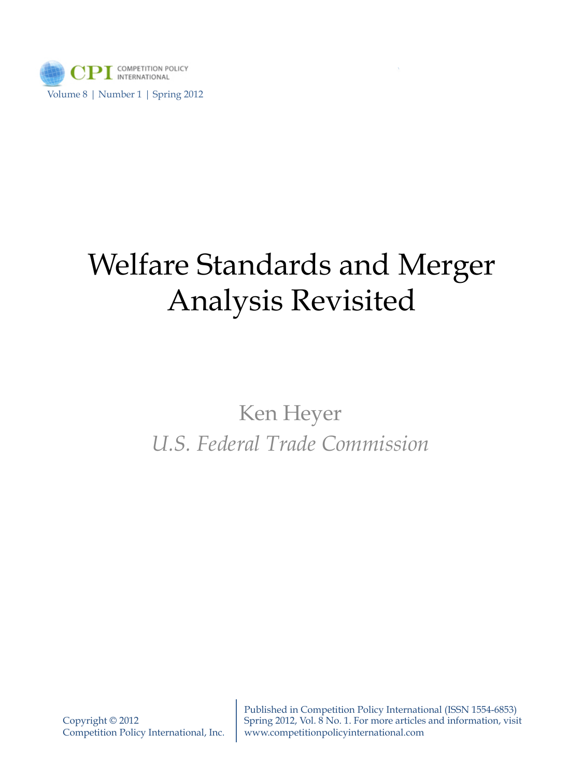

## Welfare Standards and Merger Analysis Revisited

## Ken Heyer *U.S. Federal Trade Commission*

Published in Competition Policy International (ISSN 1554-6853) Spring 2012, Vol. 8 No. 1. For more articles and information, visit www.competitionpolicyinternational.com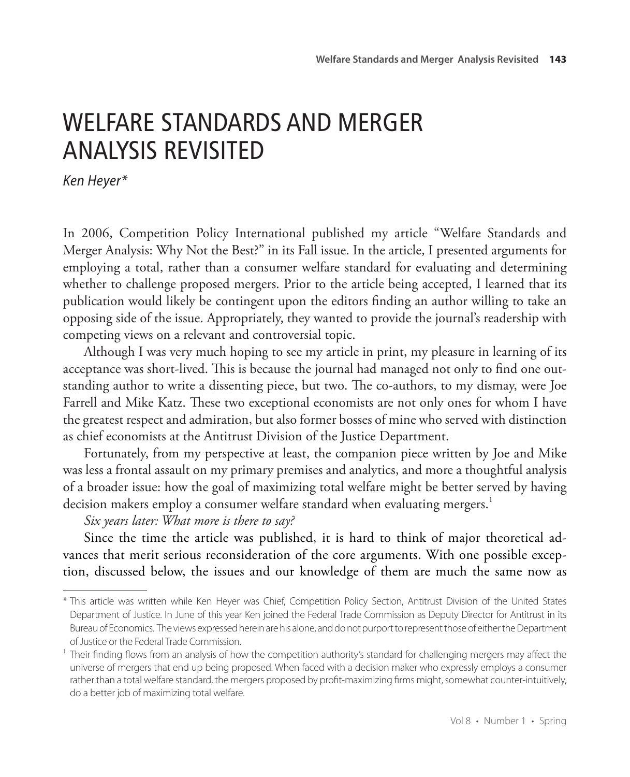## WELFARE STANDARDS AND MERGER ANALYSIS REVISITED

*Ken Heyer\**

In 2006, Competition Policy International published my article "Welfare Standards and Merger Analysis: Why Not the Best?" in its Fall issue. In the article, I presented arguments for employing a total, rather than a consumer welfare standard for evaluating and determining whether to challenge proposed mergers. Prior to the article being accepted, I learned that its publication would likely be contingent upon the editors finding an author willing to take an opposing side of the issue. Appropriately, they wanted to provide the journal's readership with competing views on a relevant and controversial topic.

Although I was very much hoping to see my article in print, my pleasure in learning of its acceptance was short-lived. This is because the journal had managed not only to find one outstanding author to write a dissenting piece, but two. The co-authors, to my dismay, were Joe Farrell and Mike Katz. These two exceptional economists are not only ones for whom I have the greatest respect and admiration, but also former bosses of mine who served with distinction as chief economists at the Antitrust Division of the Justice Department.

Fortunately, from my perspective at least, the companion piece written by Joe and Mike was less a frontal assault on my primary premises and analytics, and more a thoughtful analysis of a broader issue: how the goal of maximizing total welfare might be better served by having decision makers employ a consumer welfare standard when evaluating mergers.<sup>1</sup>

*Six years later: What more is there to say?*

Since the time the article was published, it is hard to think of major theoretical advances that merit serious reconsideration of the core arguments. With one possible exception, discussed below, the issues and our knowledge of them are much the same now as

<sup>\*</sup> This article was written while Ken Heyer was Chief, Competition Policy Section, Antitrust Division of the United States Department of Justice. In June of this year Ken joined the Federal Trade Commission as Deputy Director for Antitrust in its Bureau of Economics. The views expressed herein are his alone, and do not purport to represent those of either the Department of Justice or the Federal Trade Commission.

Their finding flows from an analysis of how the competition authority's standard for challenging mergers may affect the universe of mergers that end up being proposed. When faced with a decision maker who expressly employs a consumer rather than a total welfare standard, the mergers proposed by profit-maximizing firms might, somewhat counter-intuitively, do a better job of maximizing total welfare.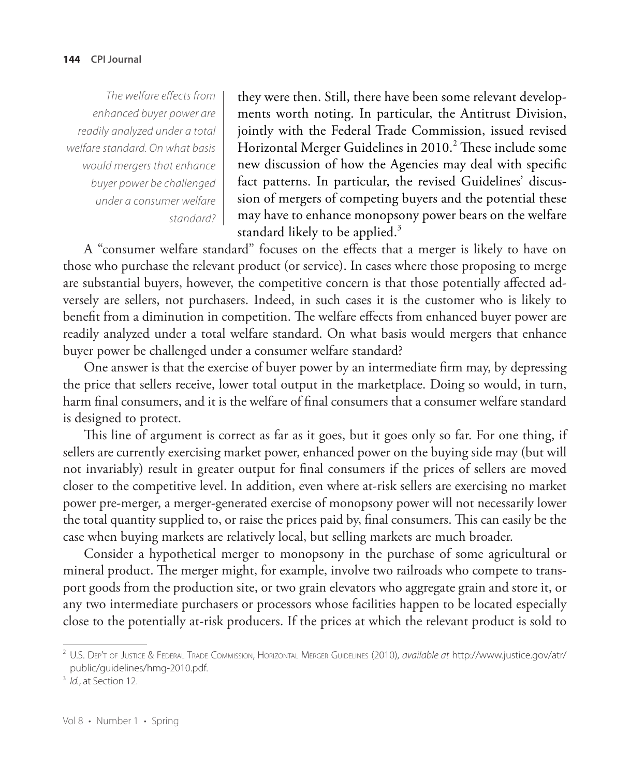*The welfare effects from enhanced buyer power are readily analyzed under a total welfare standard. On what basis would mergers that enhance buyer power be challenged under a consumer welfare standard?* they were then. Still, there have been some relevant developments worth noting. In particular, the Antitrust Division, jointly with the Federal Trade Commission, issued revised Horizontal Merger Guidelines in 2010. $^2$  These include some new discussion of how the Agencies may deal with specific fact patterns. In particular, the revised Guidelines' discussion of mergers of competing buyers and the potential these may have to enhance monopsony power bears on the welfare standard likely to be applied. $3$ 

A "consumer welfare standard" focuses on the effects that a merger is likely to have on those who purchase the relevant product (or service). In cases where those proposing to merge are substantial buyers, however, the competitive concern is that those potentially affected adversely are sellers, not purchasers. Indeed, in such cases it is the customer who is likely to benefit from a diminution in competition. The welfare effects from enhanced buyer power are readily analyzed under a total welfare standard. On what basis would mergers that enhance buyer power be challenged under a consumer welfare standard?

One answer is that the exercise of buyer power by an intermediate firm may, by depressing the price that sellers receive, lower total output in the marketplace. Doing so would, in turn, harm final consumers, and it is the welfare of final consumers that a consumer welfare standard is designed to protect.

This line of argument is correct as far as it goes, but it goes only so far. For one thing, if sellers are currently exercising market power, enhanced power on the buying side may (but will not invariably) result in greater output for final consumers if the prices of sellers are moved closer to the competitive level. In addition, even where at-risk sellers are exercising no market power pre-merger, a merger-generated exercise of monopsony power will not necessarily lower the total quantity supplied to, or raise the prices paid by, final consumers. This can easily be the case when buying markets are relatively local, but selling markets are much broader.

Consider a hypothetical merger to monopsony in the purchase of some agricultural or mineral product. The merger might, for example, involve two railroads who compete to transport goods from the production site, or two grain elevators who aggregate grain and store it, or any two intermediate purchasers or processors whose facilities happen to be located especially close to the potentially at-risk producers. If the prices at which the relevant product is sold to

<sup>2</sup> U.S. Dep't of Justice & Federal Trade Commission, Horizontal Merger Guidelines (2010), *available at* http://www.justice.gov/atr/ public/guidelines/hmg-2010.pdf.

<sup>&</sup>lt;sup>3</sup> *Id.*, at Section 12.